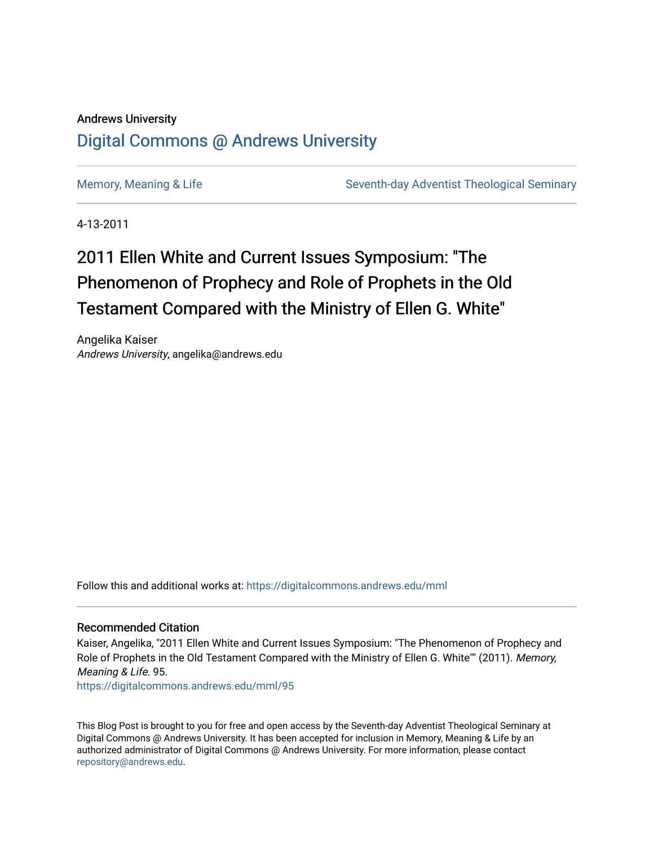### Andrews University [Digital Commons @ Andrews University](https://digitalcommons.andrews.edu/)

[Memory, Meaning & Life](https://digitalcommons.andrews.edu/mml) Seventh-day Adventist Theological Seminary

4-13-2011

# 2011 Ellen White and Current Issues Symposium: "The Phenomenon of Prophecy and Role of Prophets in the Old Testament Compared with the Ministry of Ellen G. White"

Angelika Kaiser Andrews University, angelika@andrews.edu

Follow this and additional works at: [https://digitalcommons.andrews.edu/mml](https://digitalcommons.andrews.edu/mml?utm_source=digitalcommons.andrews.edu%2Fmml%2F95&utm_medium=PDF&utm_campaign=PDFCoverPages) 

#### Recommended Citation

Kaiser, Angelika, "2011 Ellen White and Current Issues Symposium: "The Phenomenon of Prophecy and Role of Prophets in the Old Testament Compared with the Ministry of Ellen G. White"" (2011). Memory, Meaning & Life. 95.

[https://digitalcommons.andrews.edu/mml/95](https://digitalcommons.andrews.edu/mml/95?utm_source=digitalcommons.andrews.edu%2Fmml%2F95&utm_medium=PDF&utm_campaign=PDFCoverPages)

This Blog Post is brought to you for free and open access by the Seventh-day Adventist Theological Seminary at Digital Commons @ Andrews University. It has been accepted for inclusion in Memory, Meaning & Life by an authorized administrator of Digital Commons @ Andrews University. For more information, please contact [repository@andrews.edu](mailto:repository@andrews.edu).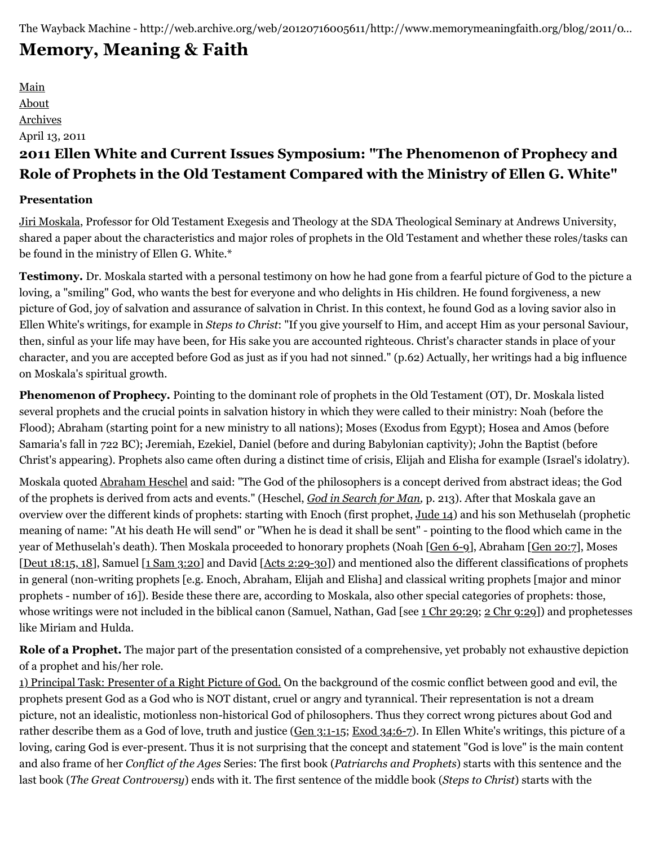## **[Memory, Meaning & Faith](http://web.archive.org/web/20120716005611/http://www.memorymeaningfaith.org/blog/)**

[Main](http://web.archive.org/web/20120716005611/http://www.memorymeaningfaith.org/blog) [About](http://web.archive.org/web/20120716005611/http://www.memorymeaningfaith.org/blog/about.html) [Archives](http://web.archive.org/web/20120716005611/http://www.memorymeaningfaith.org/blog/archives.html) April 13, 2011 **2011 Ellen White and Current Issues Symposium: "The Phenomenon of Prophecy and Role of Prophets in the Old Testament Compared with the Ministry of Ellen G. White"**

#### **Presentation**

[Jiri Moskala](http://web.archive.org/web/20120716005611/http://www.andrews.edu/sem/article.php?id=102), Professor for Old Testament Exegesis and Theology at the SDA Theological Seminary at Andrews University, shared a paper about the characteristics and major roles of prophets in the Old Testament and whether these roles/tasks can be found in the ministry of Ellen G. White.\*

**Testimony.** Dr. Moskala started with a personal testimony on how he had gone from a fearful picture of God to the picture a loving, a "smiling" God, who wants the best for everyone and who delights in His children. He found forgiveness, a new picture of God, joy of salvation and assurance of salvation in Christ. In this context, he found God as a loving savior also in Ellen White's writings, for example in *Steps to Christ*: "If you give yourself to Him, and accept Him as your personal Saviour, then, sinful as your life may have been, for His sake you are accounted righteous. Christ's character stands in place of your character, and you are accepted before God as just as if you had not sinned." (p.62) Actually, her writings had a big influence on Moskala's spiritual growth.

**Phenomenon of Prophecy.** Pointing to the dominant role of prophets in the Old Testament (OT), Dr. Moskala listed several prophets and the crucial points in salvation history in which they were called to their ministry: Noah (before the Flood); Abraham (starting point for a new ministry to all nations); Moses (Exodus from Egypt); Hosea and Amos (before Samaria's fall in 722 BC); Jeremiah, Ezekiel, Daniel (before and during Babylonian captivity); John the Baptist (before Christ's appearing). Prophets also came often during a distinct time of crisis, Elijah and Elisha for example (Israel's idolatry).

Moskala quoted [Abraham Heschel](http://web.archive.org/web/20120716005611/http://en.wikipedia.org/wiki/Abraham_heschel) and said: "The God of the philosophers is a concept derived from abstract ideas; the God of the prophets is derived from acts and events." (Heschel, *[God in Search for Man](http://web.archive.org/web/20120716005611/http://www.amazon.com/God-Search-Man-Philosophy-Judaism/dp/0374513317/ref=sr_1_1?ie=UTF8&qid=1302475052&sr=8-1),* p. 213). After that Moskala gave an overview over the different kinds of prophets: starting with Enoch (first prophet, [Jude 14](http://web.archive.org/web/20120716005611/http://www.biblegateway.com/passage/?search=jude%2014&version=NKJV)) and his son Methuselah (prophetic meaning of name: "At his death He will send" or "When he is dead it shall be sent" - pointing to the flood which came in the year of Methuselah's death). Then Moskala proceeded to honorary prophets (Noah [[Gen 6-9\]](http://web.archive.org/web/20120716005611/http://www.biblegateway.com/passage/?search=Gen%206-9&version=NKJV), Abraham [[Gen 20:7\]](http://web.archive.org/web/20120716005611/http://www.biblegateway.com/passage/?search=Genesis%2020:7&version=NKJV), Moses [[Deut 18:15, 18\]](http://web.archive.org/web/20120716005611/http://www.biblegateway.com/passage/?search=Deut%2018:15,%2018&version=NKJV), Samuel [\[1 Sam 3:20](http://web.archive.org/web/20120716005611/http://www.biblegateway.com/passage/?search=1%20Samuel%203:20&version=NKJV)] and David [\[Acts 2:29-30](http://web.archive.org/web/20120716005611/http://www.biblegateway.com/passage/?search=Acts%202:29-30&version=NKJV)]) and mentioned also the different classifications of prophets in general (non-writing prophets [e.g. Enoch, Abraham, Elijah and Elisha] and classical writing prophets [major and minor prophets - number of 16]). Beside these there are, according to Moskala, also other special categories of prophets: those, whose writings were not included in the biblical canon (Samuel, Nathan, Gad [see [1 Chr 29:29;](http://web.archive.org/web/20120716005611/http://www.biblegateway.com/passage/?search=1%20Chr%2029:29&version=NKJV) [2 Chr 9:29](http://web.archive.org/web/20120716005611/http://www.biblegateway.com/passage/?search=2%20Chr%209:29&version=NKJV)]) and prophetesses like Miriam and Hulda.

**Role of a Prophet.** The major part of the presentation consisted of a comprehensive, yet probably not exhaustive depiction of a prophet and his/her role.

1) Principal Task: Presenter of a Right Picture of God. On the background of the cosmic conflict between good and evil, the prophets present God as a God who is NOT distant, cruel or angry and tyrannical. Their representation is not a dream picture, not an idealistic, motionless non-historical God of philosophers. Thus they correct wrong pictures about God and rather describe them as a God of love, truth and justice ([Gen 3:1-15](http://web.archive.org/web/20120716005611/http://www.biblegateway.com/passage/?search=Gen%203:1-15&version=NKJV); [Exod 34:6-7\)](http://web.archive.org/web/20120716005611/http://www.biblegateway.com/passage/?search=Exod%2034:6-7&version=NKJV). In Ellen White's writings, this picture of a loving, caring God is ever-present. Thus it is not surprising that the concept and statement "God is love" is the main content and also frame of her *Conflict of the Ages* Series: The first book (*Patriarchs and Prophets*) starts with this sentence and the last book (*The Great Controversy*) ends with it. The first sentence of the middle book (*Steps to Christ*) starts with the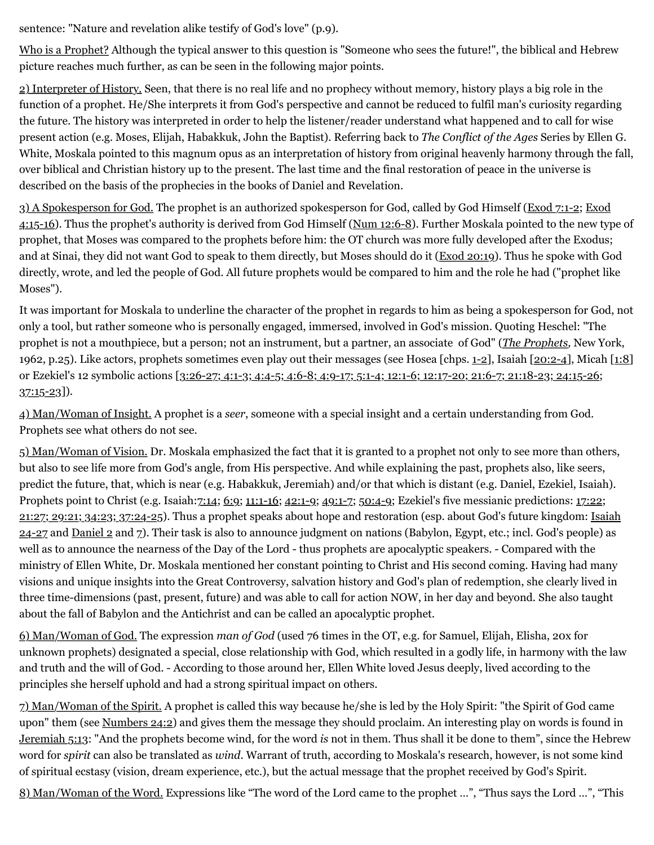sentence: "Nature and revelation alike testify of God's love" (p.9).

Who is a Prophet? Although the typical answer to this question is "Someone who sees the future!", the biblical and Hebrew picture reaches much further, as can be seen in the following major points.

2) Interpreter of History. Seen, that there is no real life and no prophecy without memory, history plays a big role in the function of a prophet. He/She interprets it from God's perspective and cannot be reduced to fulfil man's curiosity regarding the future. The history was interpreted in order to help the listener/reader understand what happened and to call for wise present action (e.g. Moses, Elijah, Habakkuk, John the Baptist). Referring back to *The Conflict of the Ages* Series by Ellen G. White, Moskala pointed to this magnum opus as an interpretation of history from original heavenly harmony through the fall, over biblical and Christian history up to the present. The last time and the final restoration of peace in the universe is described on the basis of the prophecies in the books of Daniel and Revelation.

[3\) A Spokesperson for God. The prophet is an authorized spokesperson for God, called by God Himself \(E](http://web.archive.org/web/20120716005611/http://www.biblegateway.com/passage/?search=Exod%204:15-16&version=NKJV)[xod 7:1-2](http://web.archive.org/web/20120716005611/http://www.biblegateway.com/passage/?search=Exod%207:1-2&version=NKJV)[; Exod](http://web.archive.org/web/20120716005611/http://www.biblegateway.com/passage/?search=Exod%204:15-16&version=NKJV) 4:15-16). Thus the prophet's authority is derived from God Himself [\(Num 12:6-8\)](http://web.archive.org/web/20120716005611/http://www.biblegateway.com/passage/?search=Num%2012:6-8&version=NKJV). Further Moskala pointed to the new type of prophet, that Moses was compared to the prophets before him: the OT church was more fully developed after the Exodus; and at Sinai, they did not want God to speak to them directly, but Moses should do it [\(Exod 20:19](http://web.archive.org/web/20120716005611/http://www.biblegateway.com/passage/?search=Exod%2020:19&version=NKJV)). Thus he spoke with God directly, wrote, and led the people of God. All future prophets would be compared to him and the role he had ("prophet like Moses").

It was important for Moskala to underline the character of the prophet in regards to him as being a spokesperson for God, not only a tool, but rather someone who is personally engaged, immersed, involved in God's mission. Quoting Heschel: "The prophet is not a mouthpiece, but a person; not an instrument, but a partner, an associate of God" (*[The Prophets,](http://web.archive.org/web/20120716005611/http://www.amazon.com/Prophets-Abraham-Joshua-Heschel/dp/1598561812/ref=sr_1_1?ie=UTF8&qid=1302483255&sr=8-1)* New York, 1962, p.25). Like actors, prophets sometimes even play out their messages (see Hosea [chps.  $1-2$ ], Isaiah [\[20:2-4](http://web.archive.org/web/20120716005611/http://www.biblegateway.com/passage/?search=Isaiah%2020:2-4&version=NKJV)], Micah [\[1:8](http://web.archive.org/web/20120716005611/http://www.biblegateway.com/passage/?search=Micah%201:8&version=NKJV)] [or Ezekiel's 12 symbolic actions \[3:26-27; 4:1-3; 4:4-5; 4:6-8; 4:9-17; 5:1-4; 12:1-6; 12:17-20; 21:6-7; 21:18-23; 24:15-26;](http://web.archive.org/web/20120716005611/http://www.biblegateway.com/passage/?search=Ezekiel%203:26-27;%204:1-3;%204:4-5;%204:6-8;%204:9-17;%205:1-4;%2012:1-6;%2012:17-20;%2021:6-7;%2021:18-23;%2024:15-26;%2037:15-23&version=NKJV)  $37:15-23$ .

4) Man/Woman of Insight. A prophet is a *seer*, someone with a special insight and a certain understanding from God. Prophets see what others do not see.

5) Man/Woman of Vision. Dr. Moskala emphasized the fact that it is granted to a prophet not only to see more than others, but also to see life more from God's angle, from His perspective. And while explaining the past, prophets also, like seers, predict the future, that, which is near (e.g. Habakkuk, Jeremiah) and/or that which is distant (e.g. Daniel, Ezekiel, Isaiah). [Prophets point to Christ \(e.g. Isaiah:7](http://web.archive.org/web/20120716005611/http://www.biblegateway.com/passage/?search=Ezekiel%2017:22;%2021:27;%2029:21;%2034:23;%2037:24-25&version=NKJV)[:14](http://web.archive.org/web/20120716005611/http://www.biblegateway.com/passage/?search=Isaiah%207:14&version=NKJV)[;](http://web.archive.org/web/20120716005611/http://www.biblegateway.com/passage/?search=Ezekiel%2017:22;%2021:27;%2029:21;%2034:23;%2037:24-25&version=NKJV) [6:](http://web.archive.org/web/20120716005611/http://www.biblegateway.com/passage/?search=isaiah%206:9&version=NKJV)[9;](http://web.archive.org/web/20120716005611/http://www.biblegateway.com/passage/?search=Ezekiel%2017:22;%2021:27;%2029:21;%2034:23;%2037:24-25&version=NKJV) [11:1-16](http://web.archive.org/web/20120716005611/http://www.biblegateway.com/passage/?search=Isaiah%2011:1-16&version=NKJV)[; 4](http://web.archive.org/web/20120716005611/http://www.biblegateway.com/passage/?search=Ezekiel%2017:22;%2021:27;%2029:21;%2034:23;%2037:24-25&version=NKJV)[2:1-9](http://web.archive.org/web/20120716005611/http://www.biblegateway.com/passage/?search=Isaiah%2042:1-9&version=NKJV)[; 4](http://web.archive.org/web/20120716005611/http://www.biblegateway.com/passage/?search=Ezekiel%2017:22;%2021:27;%2029:21;%2034:23;%2037:24-25&version=NKJV)[9:1-](http://web.archive.org/web/20120716005611/http://www.biblegateway.com/passage/?search=Isaiah%2049:1-7&version=NKJV)[7;](http://web.archive.org/web/20120716005611/http://www.biblegateway.com/passage/?search=Ezekiel%2017:22;%2021:27;%2029:21;%2034:23;%2037:24-25&version=NKJV) [50:4-9](http://web.archive.org/web/20120716005611/http://www.biblegateway.com/passage/?search=Isaiah%2050:4-9&version=NKJV)[; Ezekiel's five messianic predictions: 17:22;](http://web.archive.org/web/20120716005611/http://www.biblegateway.com/passage/?search=Ezekiel%2017:22;%2021:27;%2029:21;%2034:23;%2037:24-25&version=NKJV)  $21:27$ ;  $29:21$ ;  $34:23$ ;  $37:24-25$ ). Thus a prophet speaks about hope and restoration (esp. about God's future kingdom: Isaiah 24-27 and [Daniel 2](http://web.archive.org/web/20120716005611/http://www.biblegateway.com/passage/?search=Daniel%202&version=NKJV) and [7](http://web.archive.org/web/20120716005611/http://www.biblegateway.com/passage/?search=Daniel%207&version=NKJV)). Their task is also to announce judgment on nations (Babylon, Egypt, etc.; incl. God's people) as well as to announce the nearness of the Day of the Lord - thus prophets are apocalyptic speakers. - Compared with the ministry of Ellen White, Dr. Moskala mentioned her constant pointing to Christ and His second coming. Having had many visions and unique insights into the Great Controversy, salvation history and God's plan of redemption, she clearly lived in three time-dimensions (past, present, future) and was able to call for action NOW, in her day and beyond. She also taught about the fall of Babylon and the Antichrist and can be called an apocalyptic prophet.

6) Man/Woman of God. The expression *man of God* (used 76 times in the OT, e.g. for Samuel, Elijah, Elisha, 20x for unknown prophets) designated a special, close relationship with God, which resulted in a godly life, in harmony with the law and truth and the will of God. - According to those around her, Ellen White loved Jesus deeply, lived according to the principles she herself uphold and had a strong spiritual impact on others.

7) Man/Woman of the Spirit. A prophet is called this way because he/she is led by the Holy Spirit: "the Spirit of God came upon" them (see [Numbers 24:2\)](http://web.archive.org/web/20120716005611/http://www.biblegateway.com/passage/?search=Numbers%2024:2&version=NKJV) and gives them the message they should proclaim. An interesting play on words is found in [Jeremiah 5:13:](http://web.archive.org/web/20120716005611/http://www.biblegateway.com/passage/?search=Jeremiah%205:13&version=NKJV) "And the prophets become wind, for the word *is* not in them. Thus shall it be done to them", since the Hebrew word for *spirit* can also be translated as *wind*. Warrant of truth, according to Moskala's research, however, is not some kind of spiritual ecstasy (vision, dream experience, etc.), but the actual message that the prophet received by God's Spirit.

8) Man/Woman of the Word. Expressions like "The word of the Lord came to the prophet …", "Thus says the Lord …", "This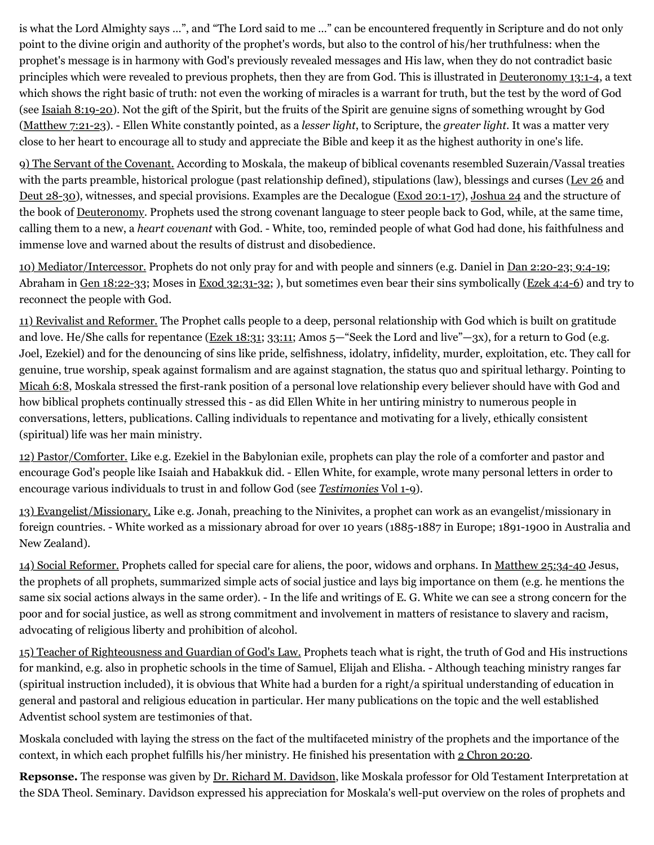is what the Lord Almighty says …", and "The Lord said to me …" can be encountered frequently in Scripture and do not only point to the divine origin and authority of the prophet's words, but also to the control of his/her truthfulness: when the prophet's message is in harmony with God's previously revealed messages and His law, when they do not contradict basic principles which were revealed to previous prophets, then they are from God. This is illustrated in [Deuteronomy 13:1-4](http://web.archive.org/web/20120716005611/http://www.biblegateway.com/passage/?search=Deuteronomy%2013:1-4&version=NKJV), a text which shows the right basic of truth: not even the working of miracles is a warrant for truth, but the test by the word of God (see [Isaiah 8:19-20](http://web.archive.org/web/20120716005611/http://www.biblegateway.com/passage/?search=Isaiah%208:19-20&version=NKJV)). Not the gift of the Spirit, but the fruits of the Spirit are genuine signs of something wrought by God ([Matthew 7:21-23](http://web.archive.org/web/20120716005611/http://www.biblegateway.com/passage/?search=Matthew%207:21-23&version=NKJV)). - Ellen White constantly pointed, as a *lesser light*, to Scripture, the *greater light*. It was a matter very close to her heart to encourage all to study and appreciate the Bible and keep it as the highest authority in one's life.

9) The Servant of the Covenant. According to Moskala, the makeup of biblical covenants resembled Suzerain/Vassal treaties with the parts preamble, historical prologue (past relationship defined), stipulations (law), blessings and curses [\(Lev 26](http://web.archive.org/web/20120716005611/http://www.biblegateway.com/passage/?search=Leviticus%2026&version=NKJV) and [Deut 28-30\)](http://web.archive.org/web/20120716005611/http://www.biblegateway.com/passage/?search=Deuteronomy%2028-30&version=NKJV), witnesses, and special provisions. Examples are the Decalogue [\(Exod 20:1-17\)](http://web.archive.org/web/20120716005611/http://www.biblegateway.com/passage/?search=Exod%2020:1-17&version=NKJV), [Joshua 24](http://web.archive.org/web/20120716005611/http://www.biblegateway.com/passage/?search=Joshua%2024&version=NKJV) and the structure of the book of [Deuteronomy](http://web.archive.org/web/20120716005611/http://www.biblegateway.com/passage/?search=deuteronomy&version=NKJV). Prophets used the strong covenant language to steer people back to God, while, at the same time, calling them to a new, a *heart covenant* with God. - White, too, reminded people of what God had done, his faithfulness and immense love and warned about the results of distrust and disobedience.

10) Mediator/Intercessor. Prophets do not only pray for and with people and sinners (e.g. Daniel in [Dan 2:20-23; 9:4-19](http://web.archive.org/web/20120716005611/http://www.biblegateway.com/passage/?search=Daniel%202:20-23;%209:4-19&version=NKJV); Abraham in <u>[Gen 18:22-33](http://web.archive.org/web/20120716005611/http://www.biblegateway.com/passage/?search=Gen%2018:22-33&version=NKJV)</u>; Moses in [Exod 32:31-32;](http://web.archive.org/web/20120716005611/http://www.biblegateway.com/passage/?search=Exod%2032:31-32&version=NKJV) ), but sometimes even bear their sins symbolically [\(Ezek 4:4-6\)](http://web.archive.org/web/20120716005611/http://www.biblegateway.com/passage/?search=Ezek%204:4-6&version=NKJV) and try to reconnect the people with God.

11) Revivalist and Reformer. The Prophet calls people to a deep, personal relationship with God which is built on gratitude and love. He/She calls for repentance ([Ezek 18:31;](http://web.archive.org/web/20120716005611/http://www.biblegateway.com/passage/?search=Ezek%2018:31&version=NKJV) [33:11](http://web.archive.org/web/20120716005611/http://www.biblegateway.com/passage/?search=Ezekiel%2033:11&version=NKJV); Amos 5—"Seek the Lord and live"—3x), for a return to God (e.g. Joel, Ezekiel) and for the denouncing of sins like pride, selfishness, idolatry, infidelity, murder, exploitation, etc. They call for genuine, true worship, speak against formalism and are against stagnation, the status quo and spiritual lethargy. Pointing to [Micah 6:8,](http://web.archive.org/web/20120716005611/http://www.biblegateway.com/passage/?search=Micah%206:8&version=NKJV) Moskala stressed the first-rank position of a personal love relationship every believer should have with God and how biblical prophets continually stressed this - as did Ellen White in her untiring ministry to numerous people in conversations, letters, publications. Calling individuals to repentance and motivating for a lively, ethically consistent (spiritual) life was her main ministry.

12) Pastor/Comforter. Like e.g. Ezekiel in the Babylonian exile, prophets can play the role of a comforter and pastor and encourage God's people like Isaiah and Habakkuk did. - Ellen White, for example, wrote many personal letters in order to encourage various individuals to trust in and follow God (see *[Testimonies](http://web.archive.org/web/20120716005611/https://egwwritings.org/)* [Vol 1-9](http://web.archive.org/web/20120716005611/https://egwwritings.org/)).

13) Evangelist/Missionary. Like e.g. Jonah, preaching to the Ninivites, a prophet can work as an evangelist/missionary in foreign countries. - White worked as a missionary abroad for over 10 years (1885-1887 in Europe; 1891-1900 in Australia and New Zealand).

14) Social Reformer. Prophets called for special care for aliens, the poor, widows and orphans. In [Matthew 25:34-40](http://web.archive.org/web/20120716005611/http://www.biblegateway.com/passage/?search=Matthew%2025:%2034-40&version=NKJV) Jesus, the prophets of all prophets, summarized simple acts of social justice and lays big importance on them (e.g. he mentions the same six social actions always in the same order). - In the life and writings of E. G. White we can see a strong concern for the poor and for social justice, as well as strong commitment and involvement in matters of resistance to slavery and racism, advocating of religious liberty and prohibition of alcohol.

15) Teacher of Righteousness and Guardian of God's Law. Prophets teach what is right, the truth of God and His instructions for mankind, e.g. also in prophetic schools in the time of Samuel, Elijah and Elisha. - Although teaching ministry ranges far (spiritual instruction included), it is obvious that White had a burden for a right/a spiritual understanding of education in general and pastoral and religious education in particular. Her many publications on the topic and the well established Adventist school system are testimonies of that.

Moskala concluded with laying the stress on the fact of the multifaceted ministry of the prophets and the importance of the context, in which each prophet fulfills his/her ministry. He finished his presentation with [2 Chron 20:20](http://web.archive.org/web/20120716005611/http://www.biblegateway.com/passage/?search=2%20Chron%2020:20&version=NKJV).

**Repsonse.** The response was given by [Dr. Richard M. Davidson](http://web.archive.org/web/20120716005611/http://www.andrews.edu/sem/article.php?id=78), like Moskala professor for Old Testament Interpretation at the SDA Theol. Seminary. Davidson expressed his appreciation for Moskala's well-put overview on the roles of prophets and